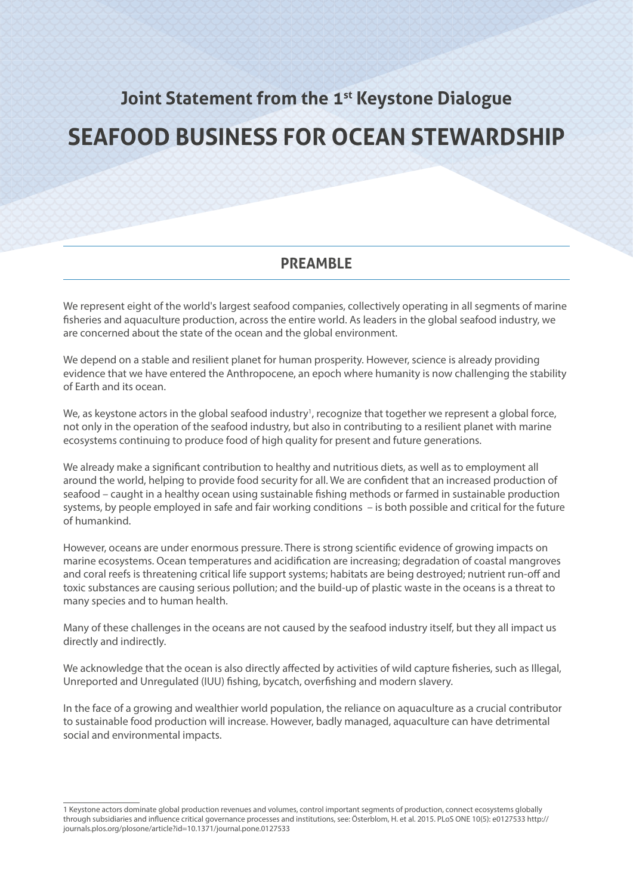## **Joint Statement from the 1st Keystone Dialogue**

# **SEAFOOD BUSINESS FOR OCEAN STEWARDSHIP**

#### **PREAMBLE**

We represent eight of the world's largest seafood companies, collectively operating in all segments of marine fisheries and aquaculture production, across the entire world. As leaders in the global seafood industry, we are concerned about the state of the ocean and the global environment.

We depend on a stable and resilient planet for human prosperity. However, science is already providing evidence that we have entered the Anthropocene, an epoch where humanity is now challenging the stability of Earth and its ocean.

We, as keystone actors in the global seafood industry<sup>1</sup>, recognize that together we represent a global force, not only in the operation of the seafood industry, but also in contributing to a resilient planet with marine ecosystems continuing to produce food of high quality for present and future generations.

We already make a significant contribution to healthy and nutritious diets, as well as to employment all around the world, helping to provide food security for all. We are confident that an increased production of seafood – caught in a healthy ocean using sustainable fishing methods or farmed in sustainable production systems, by people employed in safe and fair working conditions – is both possible and critical for the future of humankind.

However, oceans are under enormous pressure. There is strong scientific evidence of growing impacts on marine ecosystems. Ocean temperatures and acidification are increasing; degradation of coastal mangroves and coral reefs is threatening critical life support systems; habitats are being destroyed; nutrient run-off and toxic substances are causing serious pollution; and the build-up of plastic waste in the oceans is a threat to many species and to human health.

Many of these challenges in the oceans are not caused by the seafood industry itself, but they all impact us directly and indirectly.

We acknowledge that the ocean is also directly affected by activities of wild capture fisheries, such as Illegal, Unreported and Unregulated (IUU) fishing, bycatch, overfishing and modern slavery.

In the face of a growing and wealthier world population, the reliance on aquaculture as a crucial contributor to sustainable food production will increase. However, badly managed, aquaculture can have detrimental social and environmental impacts.

<sup>1</sup> Keystone actors dominate global production revenues and volumes, control important segments of production, connect ecosystems globally through subsidiaries and influence critical governance processes and institutions, see: Österblom, H. et al. 2015. PLoS ONE 10(5): e0127533 http:// journals.plos.org/plosone/article?id=10.1371/journal.pone.0127533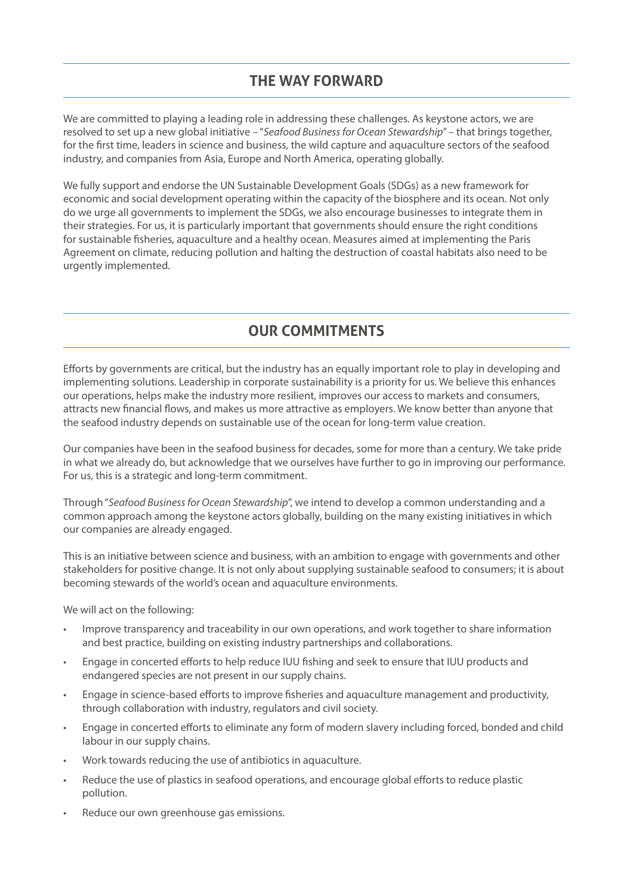## **THE WAY FORWARD**

We are committed to playing a leading role in addressing these challenges. As keystone actors, we are resolved to set up a new global initiative – "*Seafood Business for Ocean Stewardship*" – that brings together, for the first time, leaders in science and business, the wild capture and aquaculture sectors of the seafood industry, and companies from Asia, Europe and North America, operating globally.

We fully support and endorse the UN Sustainable Development Goals (SDGs) as a new framework for economic and social development operating within the capacity of the biosphere and its ocean. Not only do we urge all governments to implement the SDGs, we also encourage businesses to integrate them in their strategies. For us, it is particularly important that governments should ensure the right conditions for sustainable fisheries, aquaculture and a healthy ocean. Measures aimed at implementing the Paris Agreement on climate, reducing pollution and halting the destruction of coastal habitats also need to be urgently implemented.

## **OUR COMMITMENTS**

Efforts by governments are critical, but the industry has an equally important role to play in developing and implementing solutions. Leadership in corporate sustainability is a priority for us. We believe this enhances our operations, helps make the industry more resilient, improves our access to markets and consumers, attracts new financial flows, and makes us more attractive as employers. We know better than anyone that the seafood industry depends on sustainable use of the ocean for long-term value creation.

Our companies have been in the seafood business for decades, some for more than a century. We take pride in what we already do, but acknowledge that we ourselves have further to go in improving our performance. For us, this is a strategic and long-term commitment.

Through "*Seafood Business for Ocean Stewardship*", we intend to develop a common understanding and a common approach among the keystone actors globally, building on the many existing initiatives in which our companies are already engaged.

This is an initiative between science and business, with an ambition to engage with governments and other stakeholders for positive change. It is not only about supplying sustainable seafood to consumers; it is about becoming stewards of the world's ocean and aquaculture environments.

We will act on the following:

- Improve transparency and traceability in our own operations, and work together to share information and best practice, building on existing industry partnerships and collaborations.
- Engage in concerted efforts to help reduce IUU fishing and seek to ensure that IUU products and endangered species are not present in our supply chains.
- Engage in science-based efforts to improve fisheries and aquaculture management and productivity, through collaboration with industry, regulators and civil society.
- Engage in concerted efforts to eliminate any form of modern slavery including forced, bonded and child labour in our supply chains.
- Work towards reducing the use of antibiotics in aquaculture.
- Reduce the use of plastics in seafood operations, and encourage global efforts to reduce plastic pollution.
- Reduce our own greenhouse gas emissions.